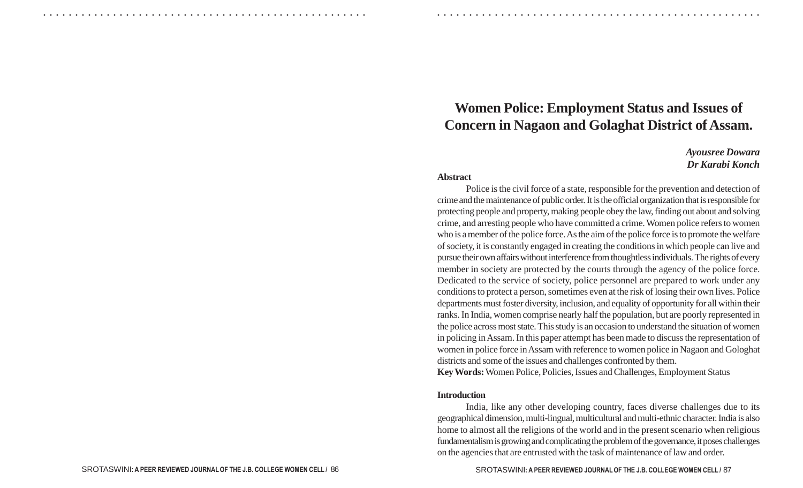# **Women Police: Employment Status and Issues of Concern in Nagaon and Golaghat District of Assam.**

## *Ayousree Dowara Dr Karabi Konch*

#### **Abstract**

○ ○ ○ ○ ○ ○ ○ ○ ○ ○ ○ ○ ○ ○ ○ ○ ○ ○ ○ ○ ○ ○ ○ ○ ○ ○ ○ ○ ○ ○ ○ ○ ○ ○ ○ ○ ○ ○ ○ ○ ○ ○ ○ ○ ○ ○ ○ ○ ○ ○ ○ ○ ○ ○ ○ ○ ○ ○ ○ ○ ○ ○ ○ ○ ○ ○ ○ ○ ○ ○ ○ ○ ○ ○ ○ ○ ○ ○ ○ ○ ○ ○ ○ ○ ○ ○ ○ ○ ○ ○ ○ ○ ○ ○ ○ ○ ○ ○ ○ ○ ○ ○

Police is the civil force of a state, responsible for the prevention and detection of crime and the maintenance of public order. It is the official organization that is responsible for protecting people and property, making people obey the law, finding out about and solving crime, and arresting people who have committed a crime. Women police refers to women who is a member of the police force. As the aim of the police force is to promote the welfare of society, it is constantly engaged in creating the conditions in which people can live and pursue their own affairs without interference from thoughtless individuals. The rights of every member in society are protected by the courts through the agency of the police force. Dedicated to the service of society, police personnel are prepared to work under any conditions to protect a person, sometimes even at the risk of losing their own lives. Police departments must foster diversity, inclusion, and equality of opportunity for all within their ranks. In India, women comprise nearly half the population, but are poorly represented in the police across most state. This study is an occasion to understand the situation of women in policing in Assam. In this paper attempt has been made to discuss the representation of women in police force in Assam with reference to women police in Nagaon and Gologhat districts and some of the issues and challenges confronted by them.

**Key Words:** Women Police, Policies, Issues and Challenges, Employment Status

#### **Introduction**

India, like any other developing country, faces diverse challenges due to its geographical dimension, multi-lingual, multicultural and multi-ethnic character. India is also home to almost all the religions of the world and in the present scenario when religious fundamentalism is growing and complicating the problem of the governance, it poses challenges on the agencies that are entrusted with the task of maintenance of law and order.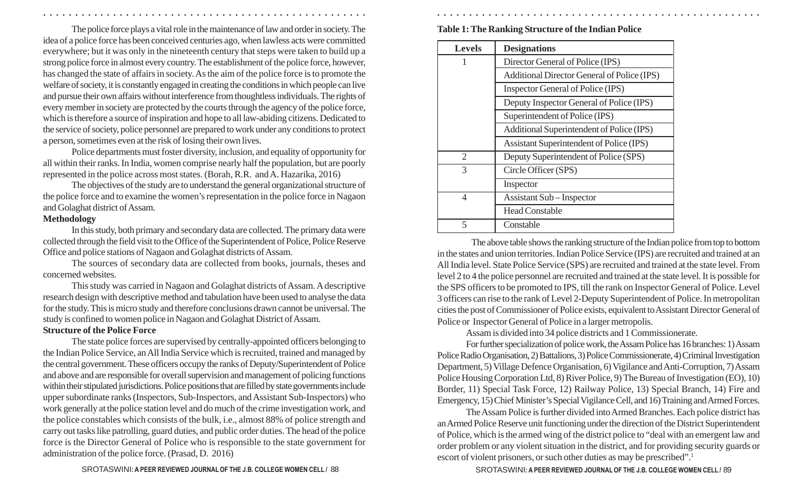The police force plays a vital role in the maintenance of law and order in society. The idea of a police force has been conceived centuries ago, when lawless acts were committed everywhere; but it was only in the nineteenth century that steps were taken to build up a strong police force in almost every country. The establishment of the police force, however, has changed the state of affairs in society. As the aim of the police force is to promote the welfare of society, it is constantly engaged in creating the conditions in which people can live and pursue their own affairs without interference from thoughtless individuals. The rights of every member in society are protected by the courts through the agency of the police force, which is therefore a source of inspiration and hope to all law-abiding citizens. Dedicated to the service of society, police personnel are prepared to work under any conditions to protect a person, sometimes even at the risk of losing their own lives.

○ ○ ○ ○ ○ ○ ○ ○ ○ ○ ○ ○ ○ ○ ○ ○ ○ ○ ○ ○ ○ ○ ○ ○ ○ ○ ○ ○ ○ ○ ○ ○ ○ ○ ○ ○ ○ ○ ○ ○ ○ ○ ○ ○ ○ ○ ○ ○ ○ ○ ○ ○ ○ ○ ○ ○ ○ ○ ○ ○ ○ ○ ○ ○ ○ ○ ○ ○ ○ ○ ○ ○ ○ ○ ○ ○ ○ ○ ○ ○ ○ ○ ○ ○ ○ ○ ○ ○ ○ ○ ○ ○ ○ ○ ○ ○ ○ ○ ○ ○ ○ ○

Police departments must foster diversity, inclusion, and equality of opportunity for all within their ranks. In India, women comprise nearly half the population, but are poorly represented in the police across most states. (Borah, R.R. and A. Hazarika, 2016)

The objectives of the study are to understand the general organizational structure of the police force and to examine the women's representation in the police force in Nagaon and Golaghat district of Assam.

#### **Methodology**

In this study, both primary and secondary data are collected. The primary data were collected through the field visit to the Office of the Superintendent of Police, Police Reserve Office and police stations of Nagaon and Golaghat districts of Assam.

The sources of secondary data are collected from books, journals, theses and concerned websites.

This study was carried in Nagaon and Golaghat districts of Assam. A descriptive research design with descriptive method and tabulation have been used to analyse the data for the study. This is micro study and therefore conclusions drawn cannot be universal. The study is confined to women police in Nagaon and Golaghat District of Assam.

#### **Structure of the Police Force**

The state police forces are supervised by centrally-appointed officers belonging to the Indian Police Service, an All India Service which is recruited, trained and managed by the central government. These officers occupy the ranks of Deputy/Superintendent of Police and above and are responsible for overall supervision and management of policing functions within their stipulated jurisdictions. Police positions that are filled by state governments include upper subordinate ranks (Inspectors, Sub-Inspectors, and Assistant Sub-Inspectors) who work generally at the police station level and do much of the crime investigation work, and the police constables which consists of the bulk, i.e., almost 88% of police strength and carry out tasks like patrolling, guard duties, and public order duties. The head of the police force is the Director General of Police who is responsible to the state government for administration of the police force. (Prasad, D. 2016)

**Table 1: The Ranking Structure of the Indian Police**

| <b>Levels</b>               | <b>Designations</b>                         |  |  |  |
|-----------------------------|---------------------------------------------|--|--|--|
|                             | Director General of Police (IPS)            |  |  |  |
|                             | Additional Director General of Police (IPS) |  |  |  |
|                             | Inspector General of Police (IPS)           |  |  |  |
|                             | Deputy Inspector General of Police (IPS)    |  |  |  |
|                             | Superintendent of Police (IPS)              |  |  |  |
|                             | Additional Superintendent of Police (IPS)   |  |  |  |
|                             | Assistant Superintendent of Police (IPS)    |  |  |  |
| $\mathcal{D}_{\mathcal{L}}$ | Deputy Superintendent of Police (SPS)       |  |  |  |
| $\mathcal{R}$               | Circle Officer (SPS)                        |  |  |  |
|                             | Inspector                                   |  |  |  |
| 4                           | <b>Assistant Sub</b> – Inspector            |  |  |  |
|                             | <b>Head Constable</b>                       |  |  |  |
|                             | Constable                                   |  |  |  |

The above table shows the ranking structure of the Indian police from top to bottom in the states and union territories. Indian Police Service (IPS) are recruited and trained at an All India level. State Police Service (SPS) are recruited and trained at the state level. From level 2 to 4 the police personnel are recruited and trained at the state level. It is possible for the SPS officers to be promoted to IPS, till the rank on Inspector General of Police. Level 3 officers can rise to the rank of Level 2-Deputy Superintendent of Police. In metropolitan cities the post of Commissioner of Police exists, equivalent to Assistant Director General of Police or Inspector General of Police in a larger metropolis.

Assam is divided into 34 police districts and 1 Commissionerate.

For further specialization of police work, the Assam Police has 16 branches: 1) Assam Police Radio Organisation, 2) Battalions, 3) Police Commissionerate, 4) Criminal Investigation Department, 5) Village Defence Organisation, 6) Vigilance and Anti-Corruption, 7) Assam Police Housing Corporation Ltd, 8) River Police, 9) The Bureau of Investigation (EO), 10) Border, 11) Special Task Force, 12) Railway Police, 13) Special Branch, 14) Fire and Emergency, 15) Chief Minister's Special Vigilance Cell, and 16) Training and Armed Forces.

The Assam Police is further divided into Armed Branches. Each police district has an Armed Police Reserve unit functioning under the direction of the District Superintendent of Police, which is the armed wing of the district police to "deal with an emergent law and order problem or any violent situation in the district, and for providing security guards or escort of violent prisoners, or such other duties as may be prescribed". 1

SROTASWINI**: A PEER REVIEWED JOURNAL OF THE J.B. COLLEGE WOMEN CELL /** SROTASWINI**: A PEER REVIEWED JOURNAL OF THE J.B. COLLEGE WOMEN CELL /** 88 89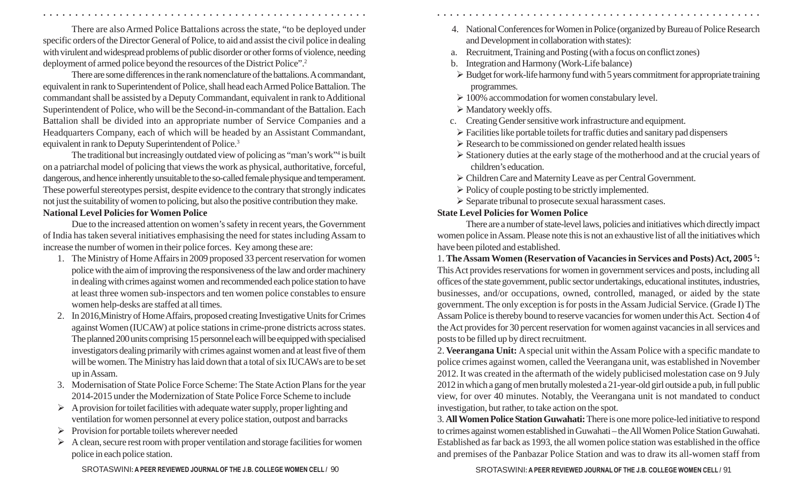There are also Armed Police Battalions across the state, "to be deployed under specific orders of the Director General of Police, to aid and assist the civil police in dealing with virulent and widespread problems of public disorder or other forms of violence, needing deployment of armed police beyond the resources of the District Police". 2

There are some differences in the rank nomenclature of the battalions. A commandant, equivalent in rank to Superintendent of Police, shall head each Armed Police Battalion. The commandant shall be assisted by a Deputy Commandant, equivalent in rank to Additional Superintendent of Police, who will be the Second-in-commandant of the Battalion. Each Battalion shall be divided into an appropriate number of Service Companies and a Headquarters Company, each of which will be headed by an Assistant Commandant, equivalent in rank to Deputy Superintendent of Police. 3

The traditional but increasingly outdated view of policing as "man's work" <sup>4</sup> is built on a patriarchal model of policing that views the work as physical, authoritative, forceful, dangerous, and hence inherently unsuitable to the so-called female physique and temperament. These powerful stereotypes persist, despite evidence to the contrary that strongly indicates not just the suitability of women to policing, but also the positive contribution they make. **National Level Policies for Women Police**

Due to the increased attention on women's safety in recent years, the Government of India has taken several initiatives emphasising the need for states including Assam to increase the number of women in their police forces. Key among these are:

- 1. The Ministry of Home Affairs in 2009 proposed 33 percent reservation for women police with the aim of improving the responsiveness of the law and order machinery in dealing with crimes against women and recommended each police station to have at least three women sub-inspectors and ten women police constables to ensure women help-desks are staffed at all times.
- 2. In 2016,Ministry of Home Affairs, proposed creating Investigative Units for Crimes against Women (IUCAW) at police stations in crime-prone districts across states. The planned 200 units comprising 15 personnel each will be equipped with specialised investigators dealing primarily with crimes against women and at least five of them will be women. The Ministry has laid down that a total of six IUCAWs are to be set up in Assam.
- 3. Modernisation of State Police Force Scheme: The State Action Plans for the year 2014-2015 under the Modernization of State Police Force Scheme to include
- Ø A provision for toilet facilities with adequate water supply, proper lighting and ventilation for women personnel at every police station, outpost and barracks
- $\triangleright$  Provision for portable toilets wherever needed
- $\triangleright$  A clean, secure rest room with proper ventilation and storage facilities for women police in each police station.
- 4. National Conferences for Women in Police (organized by Bureau of Police Research and Development in collaboration with states):
- a. Recruitment, Training and Posting (with a focus on conflict zones)
- b. Integration and Harmony (Work-Life balance)
- $\triangleright$  Budget for work-life harmony fund with 5 years commitment for appropriate training programmes.
- $\geq 100\%$  accommodation for women constabulary level.
- $\triangleright$  Mandatory weekly offs.

○ ○ ○ ○ ○ ○ ○ ○ ○ ○ ○ ○ ○ ○ ○ ○ ○ ○ ○ ○ ○ ○ ○ ○ ○ ○ ○ ○ ○ ○ ○ ○ ○ ○ ○ ○ ○ ○ ○ ○ ○ ○ ○ ○ ○ ○ ○ ○ ○ ○ ○ ○ ○ ○ ○ ○ ○ ○ ○ ○ ○ ○ ○ ○ ○ ○ ○ ○ ○ ○ ○ ○ ○ ○ ○ ○ ○ ○ ○ ○ ○ ○ ○ ○ ○ ○ ○ ○ ○ ○ ○ ○ ○ ○ ○ ○ ○ ○ ○ ○ ○ ○

- c. Creating Gender sensitive work infrastructure and equipment.
- $\triangleright$  Facilities like portable toilets for traffic duties and sanitary pad dispensers
- $\triangleright$  Research to be commissioned on gender related health issues
- $\triangleright$  Stationery duties at the early stage of the motherhood and at the crucial years of children's education.
- Ø Children Care and Maternity Leave as per Central Government.
- $\triangleright$  Policy of couple posting to be strictly implemented.
- Ø Separate tribunal to prosecute sexual harassment cases.

## **State Level Policies for Women Police**

There are a number of state-level laws, policies and initiatives which directly impact women police in Assam. Please note this is not an exhaustive list of all the initiatives which have been piloted and established.

1. **The Assam Women (Reservation of Vacancies in Services and Posts) Act, 2005 5 :** This Act provides reservations for women in government services and posts, including all offices of the state government, public sector undertakings, educational institutes, industries, businesses, and/or occupations, owned, controlled, managed, or aided by the state government. The only exception is for posts in the Assam Judicial Service. (Grade I) The Assam Police is thereby bound to reserve vacancies for women under this Act. Section 4 of the Act provides for 30 percent reservation for women against vacancies in all services and posts to be filled up by direct recruitment.

2. **Veerangana Unit:** A special unit within the Assam Police with a specific mandate to police crimes against women, called the Veerangana unit, was established in November 2012. It was created in the aftermath of the widely publicised molestation case on 9 July 2012 in which a gang of men brutally molested a 21-year-old girl outside a pub, in full public view, for over 40 minutes. Notably, the Veerangana unit is not mandated to conduct investigation, but rather, to take action on the spot.

3. **All Women Police Station Guwahati:**There is one more police-led initiative to respond to crimes against women established in Guwahati – the All Women Police Station Guwahati. Established as far back as 1993, the all women police station was established in the office and premises of the Panbazar Police Station and was to draw its all-women staff from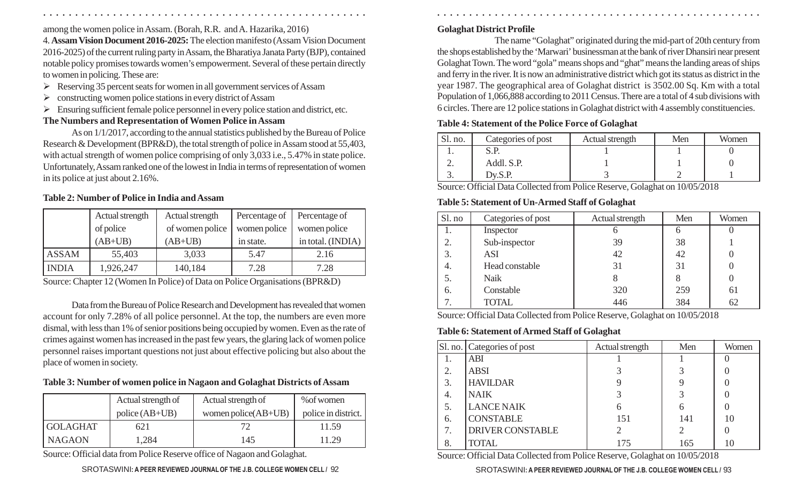among the women police in Assam. (Borah, R.R. and A. Hazarika, 2016)

4. **Assam Vision Document 2016-2025:** The election manifesto (Assam Vision Document 2016-2025) of the current ruling party in Assam, the Bharatiya Janata Party (BJP), contained notable policy promises towards women's empowerment. Several of these pertain directly to women in policing. These are:

- $\triangleright$  Reserving 35 percent seats for women in all government services of Assam
- $\triangleright$  constructing women police stations in every district of Assam
- $\triangleright$  Ensuring sufficient female police personnel in every police station and district, etc.

# **The Numbers and Representation of Women Police in Assam**

As on 1/1/2017, according to the annual statistics published by the Bureau of Police Research & Development (BPR&D), the total strength of police in Assam stood at 55,403, with actual strength of women police comprising of only 3,033 i.e., 5.47% in state police. Unfortunately, Assam ranked one of the lowest in India in terms of representation of women in its police at just about 2.16%.

## **Table 2: Number of Police in India and Assam**

|              | Actual strength | Actual strength | Percentage of | Percentage of     |
|--------------|-----------------|-----------------|---------------|-------------------|
|              | of police       | of women police | women police  | women police      |
|              | $(AB+UB)$       | $(AB+UB)$       | in state.     | in total. (INDIA) |
| <b>ASSAM</b> | 55,403          | 3,033           | 5.47          | 2.16              |
| <b>INDIA</b> | 1,926,247       | 140,184         | 7.28          | 7.28              |

Source: Chapter 12 (Women In Police) of Data on Police Organisations (BPR&D)

Data from the Bureau of Police Research and Development has revealed that women account for only 7.28% of all police personnel. At the top, the numbers are even more dismal, with less than 1% of senior positions being occupied by women. Even as the rate of crimes against women has increased in the past few years, the glaring lack of women police personnel raises important questions not just about effective policing but also about the place of women in society.

**Table 3: Number of women police in Nagaon and Golaghat Districts of Assam**

|                 | Actual strength of | Actual strength of     | % of women          |
|-----------------|--------------------|------------------------|---------------------|
|                 | $policy (AB+UB)$   | women police $(AB+UB)$ | police in district. |
| <b>GOLAGHAT</b> | 621                |                        | 11.59               |
| <b>NAGAON</b>   | 1,284              | 145                    | 11.29               |

Source: Official data from Police Reserve office of Nagaon and Golaghat.

# **Golaghat District Profile**

○ ○ ○ ○ ○ ○ ○ ○ ○ ○ ○ ○ ○ ○ ○ ○ ○ ○ ○ ○ ○ ○ ○ ○ ○ ○ ○ ○ ○ ○ ○ ○ ○ ○ ○ ○ ○ ○ ○ ○ ○ ○ ○ ○ ○ ○ ○ ○ ○ ○ ○ ○ ○ ○ ○ ○ ○ ○ ○ ○ ○ ○ ○ ○ ○ ○ ○ ○ ○ ○ ○ ○ ○ ○ ○ ○ ○ ○ ○ ○ ○ ○ ○ ○ ○ ○ ○ ○ ○ ○ ○ ○ ○ ○ ○ ○ ○ ○ ○ ○ ○ ○

The name "Golaghat" originated during the mid-part of 20th century from the shops established by the 'Marwari' businessman at the bank of river Dhansiri near present Golaghat Town. The word "gola" means shops and "ghat" means the landing areas of ships and ferry in the river. It is now an administrative district which got its status as district in the year 1987. The geographical area of Golaghat district is 3502.00 Sq. Km with a total Population of 1,066,888 according to 2011 Census. There are a total of 4 sub divisions with 6 circles. There are 12 police stations in Golaghat district with 4 assembly constituencies.

# **Table 4: Statement of the Police Force of Golaghat**

| Sl. no.  | Categories of post | Actual strength | Men | Women |
|----------|--------------------|-----------------|-----|-------|
|          |                    |                 |     |       |
| <u>.</u> | Addl. S.P.         |                 |     |       |
| J.       | Dv.S.P.            |                 |     |       |

Source: Official Data Collected from Police Reserve, Golaghat on 10/05/2018

# **Table 5: Statement of Un-Armed Staff of Golaghat**

| Sl. no | Categories of post | Actual strength | Men | Women |
|--------|--------------------|-----------------|-----|-------|
| 1.     | Inspector          |                 | O   |       |
| 2.     | Sub-inspector      | 39              | 38  |       |
| 3.     | <b>ASI</b>         | 42              | 42  |       |
| 4.     | Head constable     | 31              | 31  |       |
|        | <b>Naik</b>        |                 | 8   |       |
| 6.     | Constable          | 320             | 259 | 61    |
|        | <b>TOTAL</b>       | 446             | 384 | 62    |

Source: Official Data Collected from Police Reserve, Golaghat on 10/05/2018

## **Table 6: Statement of Armed Staff of Golaghat**

|                | Sl. no.   Categories of post | Actual strength | Men | Women |
|----------------|------------------------------|-----------------|-----|-------|
|                | <b>ABI</b>                   |                 |     |       |
| 2.             | <b>ABSI</b>                  |                 |     |       |
| $\overline{3}$ | <b>HAVILDAR</b>              |                 |     |       |
| 4.             | <b>NAIK</b>                  |                 |     |       |
| 5.             | <b>LANCE NAIK</b>            | b               |     |       |
| 6.             | <b>CONSTABLE</b>             | 151             | 141 | 10    |
| 7.             | <b>DRIVER CONSTABLE</b>      | 2               |     |       |
| 8.             | <b>TOTAL</b>                 | 175             | 165 | 10    |

Source: Official Data Collected from Police Reserve, Golaghat on 10/05/2018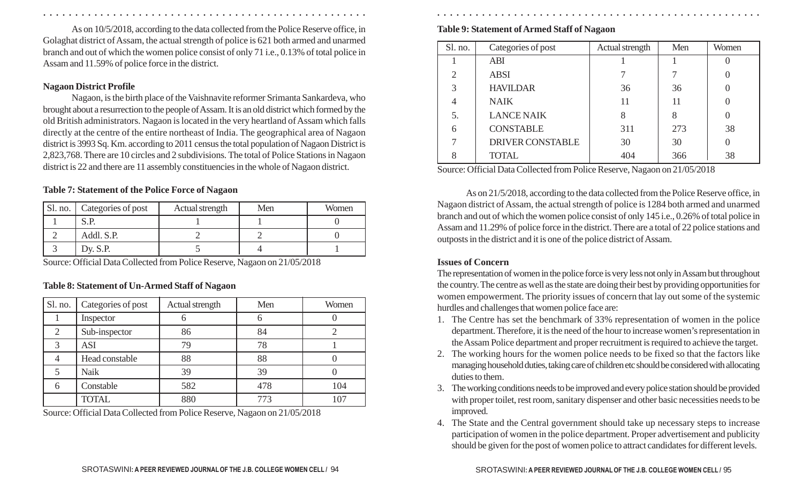As on 10/5/2018, according to the data collected from the Police Reserve office, in Golaghat district of Assam, the actual strength of police is 621 both armed and unarmed branch and out of which the women police consist of only 71 i.e., 0.13% of total police in Assam and 11.59% of police force in the district.

#### **Nagaon District Profile**

Nagaon, is the birth place of the Vaishnavite reformer Srimanta Sankardeva, who brought about a resurrection to the people of Assam. It is an old district which formed by the old British administrators. Nagaon is located in the very heartland of Assam which falls directly at the centre of the entire northeast of India. The geographical area of Nagaon district is 3993 Sq. Km. according to 2011 census the total population of Nagaon District is 2,823,768. There are 10 circles and 2 subdivisions. The total of Police Stations in Nagaon district is 22 and there are 11 assembly constituencies in the whole of Nagaon district.

#### **Table 7: Statement of the Police Force of Nagaon**

| Sl. no. | Categories of post | Actual strength | Men | Women |
|---------|--------------------|-----------------|-----|-------|
|         | S.P                |                 |     |       |
|         | Addl. S.P.         |                 |     |       |
|         | Dy. $S.P.$         |                 |     |       |

Source: Official Data Collected from Police Reserve, Nagaon on 21/05/2018

#### **Table 8: Statement of Un-Armed Staff of Nagaon**

| Sl. no.       | Categories of post | Actual strength | Men | Women |
|---------------|--------------------|-----------------|-----|-------|
|               | Inspector          | O               | 6   |       |
| 2             | Sub-inspector      | 86              | 84  |       |
| $\mathcal{R}$ | <b>ASI</b>         | 79              | 78  |       |
|               | Head constable     | 88              | 88  |       |
|               | <b>Naik</b>        | 39              | 39  |       |
| 6             | Constable          | 582             | 478 | 104   |
|               | <b>TOTAL</b>       | 880             | 773 | 107   |

Source: Official Data Collected from Police Reserve, Nagaon on 21/05/2018

**Table 9: Statement of Armed Staff of Nagaon**

| Sl. no.        | Categories of post      | Actual strength | Men | Women |
|----------------|-------------------------|-----------------|-----|-------|
|                | <b>ABI</b>              |                 |     |       |
| $\overline{2}$ | <b>ABSI</b>             |                 |     |       |
| 3              | <b>HAVILDAR</b>         | 36              | 36  |       |
| 4              | <b>NAIK</b>             | 11              | 11  |       |
| 5.             | <b>LANCE NAIK</b>       | 8               | 8   |       |
| 6              | <b>CONSTABLE</b>        | 311             | 273 | 38    |
|                | <b>DRIVER CONSTABLE</b> | 30              | 30  |       |
| 8              | <b>TOTAL</b>            | 404             | 366 | 38    |

Source: Official Data Collected from Police Reserve, Nagaon on 21/05/2018

As on 21/5/2018, according to the data collected from the Police Reserve office, in Nagaon district of Assam, the actual strength of police is 1284 both armed and unarmed branch and out of which the women police consist of only 145 i.e., 0.26% of total police in Assam and 11.29% of police force in the district. There are a total of 22 police stations and outposts in the district and it is one of the police district of Assam.

#### **Issues of Concern**

○ ○ ○ ○ ○ ○ ○ ○ ○ ○ ○ ○ ○ ○ ○ ○ ○ ○ ○ ○ ○ ○ ○ ○ ○ ○ ○ ○ ○ ○ ○ ○ ○ ○ ○ ○ ○ ○ ○ ○ ○ ○ ○ ○ ○ ○ ○ ○ ○ ○ ○ ○ ○ ○ ○ ○ ○ ○ ○ ○ ○ ○ ○ ○ ○ ○ ○ ○ ○ ○ ○ ○ ○ ○ ○ ○ ○ ○ ○ ○ ○ ○ ○ ○ ○ ○ ○ ○ ○ ○ ○ ○ ○ ○ ○ ○ ○ ○ ○ ○ ○ ○

The representation of women in the police force is very less not only in Assam but throughout the country. The centre as well as the state are doing their best by providing opportunities for women empowerment. The priority issues of concern that lay out some of the systemic hurdles and challenges that women police face are:

- 1. The Centre has set the benchmark of 33% representation of women in the police department. Therefore, it is the need of the hour to increase women's representation in the Assam Police department and proper recruitment is required to achieve the target.
- 2. The working hours for the women police needs to be fixed so that the factors like managing household duties, taking care of children etc should be considered with allocating duties to them.
- 3. The working conditions needs to be improved and every police station should be provided with proper toilet, rest room, sanitary dispenser and other basic necessities needs to be improved.
- 4. The State and the Central government should take up necessary steps to increase participation of women in the police department. Proper advertisement and publicity should be given for the post of women police to attract candidates for different levels.